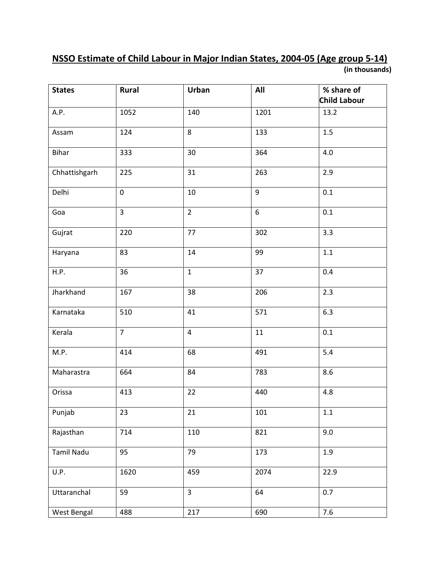## NSSO Estimate of Child Labour in Major Indian States, 2004-05 (Age group 5-14) (in thousands)

| <b>States</b>     | Rural          | Urban          | All              | % share of<br>Child Labour |
|-------------------|----------------|----------------|------------------|----------------------------|
| A.P.              | 1052           | 140            | 1201             | 13.2                       |
| Assam             | 124            | 8              | 133              | 1.5                        |
| <b>Bihar</b>      | 333            | 30             | 364              | 4.0                        |
| Chhattishgarh     | 225            | 31             | 263              | 2.9                        |
| Delhi             | $\pmb{0}$      | 10             | 9                | 0.1                        |
| Goa               | $\overline{3}$ | $\overline{2}$ | $\boldsymbol{6}$ | 0.1                        |
| Gujrat            | 220            | 77             | $\overline{3}02$ | $\overline{3.3}$           |
| Haryana           | 83             | 14             | 99               | $1.1\,$                    |
| H.P.              | 36             | $\mathbf{1}$   | 37               | 0.4                        |
| Jharkhand         | 167            | 38             | 206              | 2.3                        |
| Karnataka         | 510            | 41             | 571              | 6.3                        |
| Kerala            | $\overline{7}$ | $\overline{4}$ | 11               | 0.1                        |
| M.P.              | 414            | 68             | 491              | 5.4                        |
| Maharastra        | 664            | 84             | 783              | 8.6                        |
| Orissa            | 413            | 22             | 440              | 4.8                        |
| Punjab            | 23             | 21             | 101              | 1.1                        |
| Rajasthan         | 714            | 110            | 821              | 9.0                        |
| <b>Tamil Nadu</b> | 95             | 79             | 173              | 1.9                        |
| U.P.              | 1620           | 459            | 2074             | 22.9                       |
| Uttaranchal       | 59             | $\overline{3}$ | 64               | 0.7                        |
| West Bengal       | 488            | 217            | 690              | 7.6                        |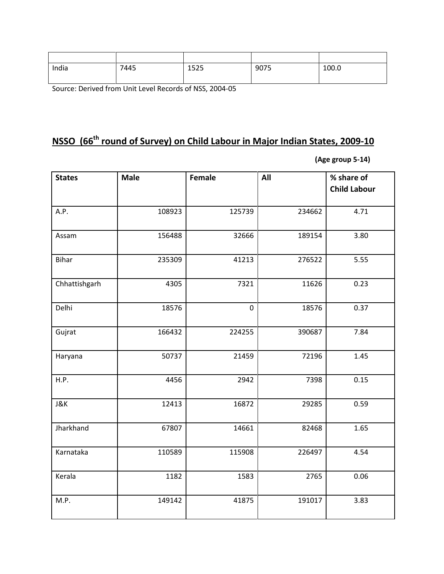| India | 7445 | 1525 | 9075 | 100.0 |
|-------|------|------|------|-------|
|       |      |      |      |       |

Source: Derived from Unit Level Records of NSS, 2004-05

## NSSO (66<sup>th</sup> round of Survey) on Child Labour in Major Indian States, 2009-10

(Age group 5-14)

| <b>States</b>  | <b>Male</b> | <b>Female</b> | All    | % share of<br><b>Child Labour</b> |
|----------------|-------------|---------------|--------|-----------------------------------|
| A.P.           | 108923      | 125739        | 234662 | 4.71                              |
| Assam          | 156488      | 32666         | 189154 | 3.80                              |
| <b>Bihar</b>   | 235309      | 41213         | 276522 | 5.55                              |
| Chhattishgarh  | 4305        | 7321          | 11626  | 0.23                              |
| Delhi          | 18576       | $\mathbf 0$   | 18576  | 0.37                              |
| Gujrat         | 166432      | 224255        | 390687 | 7.84                              |
| Haryana        | 50737       | 21459         | 72196  | 1.45                              |
| H.P.           | 4456        | 2942          | 7398   | 0.15                              |
| <b>J&amp;K</b> | 12413       | 16872         | 29285  | 0.59                              |
| Jharkhand      | 67807       | 14661         | 82468  | 1.65                              |
| Karnataka      | 110589      | 115908        | 226497 | 4.54                              |
| Kerala         | 1182        | 1583          | 2765   | 0.06                              |
| M.P.           | 149142      | 41875         | 191017 | 3.83                              |